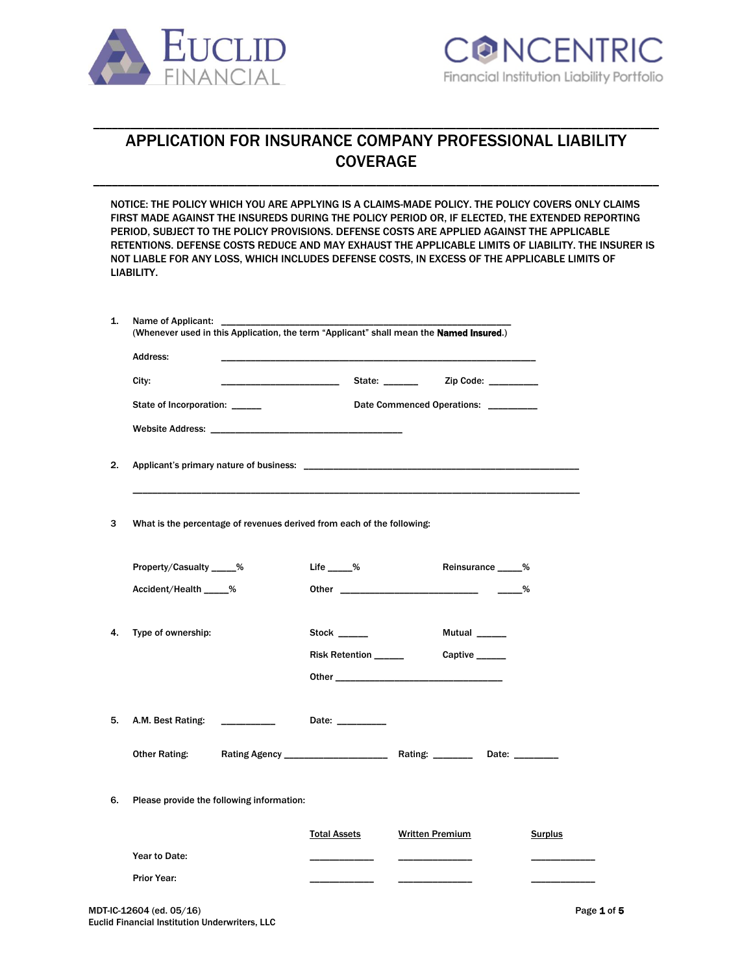



# APPLICATION FOR INSURANCE COMPANY PROFESSIONAL LIABILITY COVERAGE

\_\_\_\_\_\_\_\_\_\_\_\_\_\_\_\_\_\_\_\_\_\_\_\_\_\_\_\_\_\_\_\_\_\_\_\_\_\_\_\_\_\_\_\_\_\_\_\_\_\_\_\_\_\_\_\_\_\_\_\_\_\_\_\_\_\_\_\_\_\_\_\_\_\_\_\_\_\_\_\_\_\_\_\_\_\_\_\_\_\_\_\_

\_\_\_\_\_\_\_\_\_\_\_\_\_\_\_\_\_\_\_\_\_\_\_\_\_\_\_\_\_\_\_\_\_\_\_\_\_\_\_\_\_\_\_\_\_\_\_\_\_\_\_\_\_\_\_\_\_\_\_\_\_\_\_\_\_\_\_\_\_\_\_\_\_\_\_\_\_\_\_\_\_\_\_\_\_\_\_\_\_\_\_\_

NOTICE: THE POLICY WHICH YOU ARE APPLYING IS A CLAIMS-MADE POLICY. THE POLICY COVERS ONLY CLAIMS FIRST MADE AGAINST THE INSUREDS DURING THE POLICY PERIOD OR, IF ELECTED, THE EXTENDED REPORTING PERIOD, SUBJECT TO THE POLICY PROVISIONS. DEFENSE COSTS ARE APPLIED AGAINST THE APPLICABLE RETENTIONS. DEFENSE COSTS REDUCE AND MAY EXHAUST THE APPLICABLE LIMITS OF LIABILITY. THE INSURER IS NOT LIABLE FOR ANY LOSS, WHICH INCLUDES DEFENSE COSTS, IN EXCESS OF THE APPLICABLE LIMITS OF LIABILITY.

| <b>Address:</b>                                                        |                                                                                                                      |                                      |                |
|------------------------------------------------------------------------|----------------------------------------------------------------------------------------------------------------------|--------------------------------------|----------------|
| City:                                                                  | <u> 2000 - 2000 - 2000 - 2000 - 2000 - 2000 - 2000 - 2000 - 2000 - 2000 - 2000 - 2000 - 2000 - 2000 - 2000 - 200</u> |                                      |                |
| State of Incorporation: _____                                          |                                                                                                                      | Date Commenced Operations: _________ |                |
|                                                                        |                                                                                                                      |                                      |                |
|                                                                        |                                                                                                                      |                                      |                |
| What is the percentage of revenues derived from each of the following: |                                                                                                                      |                                      |                |
| Property/Casualty _____%                                               | Life $\_\_\_\%$                                                                                                      | Reinsurance _____%                   |                |
| Accident/Health _____%                                                 |                                                                                                                      |                                      |                |
| Type of ownership:                                                     | Stock ______                                                                                                         | <b>Mutual</b>                        |                |
|                                                                        |                                                                                                                      |                                      |                |
|                                                                        | Risk Retention ______                                                                                                | Captive _____                        |                |
|                                                                        |                                                                                                                      |                                      |                |
| A.M. Best Rating:                                                      | Date: _________                                                                                                      |                                      |                |
| <b>Other Rating:</b>                                                   |                                                                                                                      |                                      |                |
| Please provide the following information:                              |                                                                                                                      |                                      |                |
|                                                                        | <b>Total Assets</b>                                                                                                  | <b>Written Premium</b>               | <b>Surplus</b> |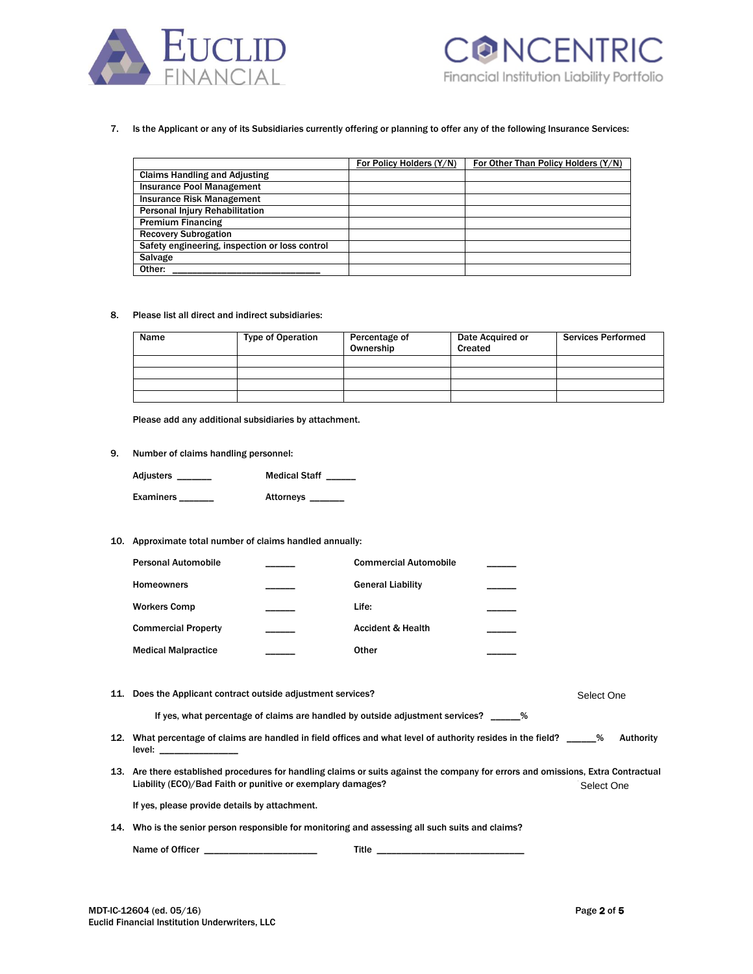



# 7. Is the Applicant or any of its Subsidiaries currently offering or planning to offer any of the following Insurance Services:

|                                                | For Policy Holders (Y/N) | For Other Than Policy Holders (Y/N) |
|------------------------------------------------|--------------------------|-------------------------------------|
|                                                |                          |                                     |
| <b>Claims Handling and Adjusting</b>           |                          |                                     |
| <b>Insurance Pool Management</b>               |                          |                                     |
| <b>Insurance Risk Management</b>               |                          |                                     |
| <b>Personal Injury Rehabilitation</b>          |                          |                                     |
| <b>Premium Financing</b>                       |                          |                                     |
| <b>Recovery Subrogation</b>                    |                          |                                     |
| Safety engineering, inspection or loss control |                          |                                     |
| Salvage                                        |                          |                                     |
| Other:                                         |                          |                                     |

#### 8. Please list all direct and indirect subsidiaries:

| Name | <b>Type of Operation</b> | Percentage of<br>Ownership | Date Acquired or<br>Created | <b>Services Performed</b> |
|------|--------------------------|----------------------------|-----------------------------|---------------------------|
|      |                          |                            |                             |                           |
|      |                          |                            |                             |                           |
|      |                          |                            |                             |                           |
|      |                          |                            |                             |                           |

Please add any additional subsidiaries by attachment.

# 9. Number of claims handling personnel:

| Adjusters | <b>Medical Staff</b> |
|-----------|----------------------|
| Examiners | Attorneys            |

# 10. Approximate total number of claims handled annually:

| <b>Personal Automobile</b> | <b>Commercial Automobile</b> |  |
|----------------------------|------------------------------|--|
| <b>Homeowners</b>          | <b>General Liability</b>     |  |
| <b>Workers Comp</b>        | Life:                        |  |
| <b>Commercial Property</b> | <b>Accident &amp; Health</b> |  |
| <b>Medical Malpractice</b> | Other                        |  |

| 11. Does the Applicant contract outside adjustment services?                                                                                                                                     | Select One |
|--------------------------------------------------------------------------------------------------------------------------------------------------------------------------------------------------|------------|
| If yes, what percentage of claims are handled by outside adjustment services? $\frac{1}{2}$                                                                                                      |            |
| 12. What percentage of claims are handled in field offices and what level of authority resides in the field?<br>level:                                                                           | Authority  |
| 13. Are there established procedures for handling claims or suits against the company for errors and omissions, Extra Contractual<br>Liability (ECO)/Bad Faith or punitive or exemplary damages? | Select One |
| If yes, please provide details by attachment.                                                                                                                                                    |            |
| 14. Who is the senior person responsible for monitoring and assessing all such suits and claims?                                                                                                 |            |

Name of Officer \_\_\_\_\_\_\_\_\_\_\_\_\_\_\_\_\_\_\_\_\_\_\_ Title \_\_\_\_\_\_\_\_\_\_\_\_\_\_\_\_\_\_\_\_\_\_\_\_\_\_\_\_\_\_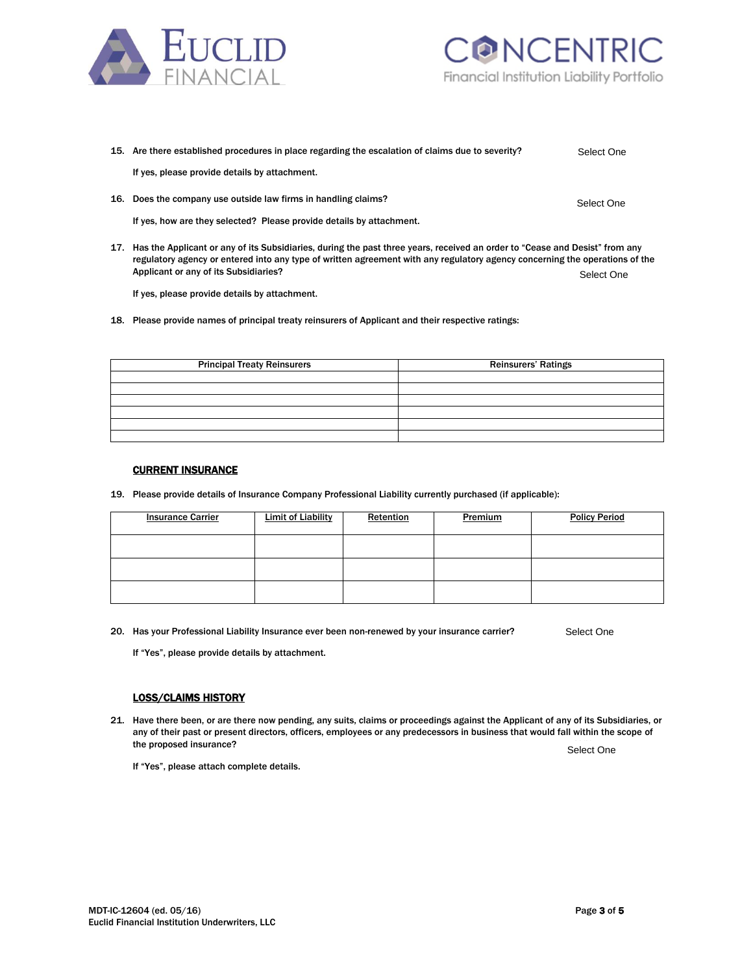



| 15. Are there established procedures in place regarding the escalation of claims due to severity?                               | Select One |
|---------------------------------------------------------------------------------------------------------------------------------|------------|
| If yes, please provide details by attachment.                                                                                   |            |
| 16. Does the company use outside law firms in handling claims?                                                                  | Select One |
| If yes, how are they selected? Please provide details by attachment.                                                            |            |
| 17. Has the Applicant or any of its Subsidiaries, during the past three years, received an order to "Cease and Desist" from any |            |

regulatory agency or entered into any type of written agreement with any regulatory agency concerning the operations of the Applicant or any of its Subsidiaries? Select One

If yes, please provide details by attachment.

18. Please provide names of principal treaty reinsurers of Applicant and their respective ratings:

| <b>Principal Treaty Reinsurers</b> | <b>Reinsurers' Ratings</b> |  |
|------------------------------------|----------------------------|--|
|                                    |                            |  |
|                                    |                            |  |
|                                    |                            |  |
|                                    |                            |  |
|                                    |                            |  |
|                                    |                            |  |

# CURRENT INSURANCE

19. Please provide details of Insurance Company Professional Liability currently purchased (if applicable):

| <b>Insurance Carrier</b> | <b>Limit of Liability</b> | Retention | Premium | <b>Policy Period</b> |
|--------------------------|---------------------------|-----------|---------|----------------------|
|                          |                           |           |         |                      |
|                          |                           |           |         |                      |
|                          |                           |           |         |                      |

20. Has your Professional Liability Insurance ever been non-renewed by your insurance carrier? Select One

If "Yes", please provide details by attachment.

#### LOSS/CLAIMS HISTORY

21. Have there been, or are there now pending, any suits, claims or proceedings against the Applicant of any of its Subsidiaries, or any of their past or present directors, officers, employees or any predecessors in business that would fall within the scope of the proposed insurance? Select One

If "Yes", please attach complete details.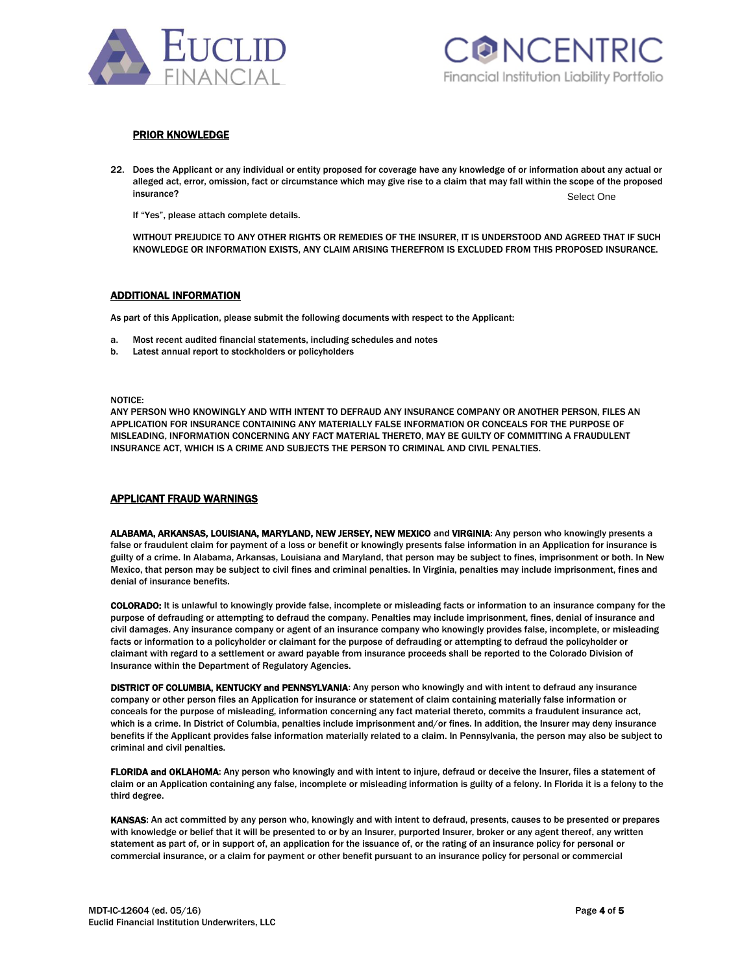



### PRIOR KNOWLEDGE

22. Does the Applicant or any individual or entity proposed for coverage have any knowledge of or information about any actual or alleged act, error, omission, fact or circumstance which may give rise to a claim that may fall within the scope of the proposed insurance? Selection of the contract of the contract of the contract of the contract of the contract of the contract of the contract of the contract of the contract of the contract of the contract of the contract of the co Select One

If "Yes", please attach complete details.

WITHOUT PREJUDICE TO ANY OTHER RIGHTS OR REMEDIES OF THE INSURER, IT IS UNDERSTOOD AND AGREED THAT IF SUCH KNOWLEDGE OR INFORMATION EXISTS, ANY CLAIM ARISING THEREFROM IS EXCLUDED FROM THIS PROPOSED INSURANCE.

#### ADDITIONAL INFORMATION

As part of this Application, please submit the following documents with respect to the Applicant:

- a. Most recent audited financial statements, including schedules and notes
- b. Latest annual report to stockholders or policyholders

NOTICE:

ANY PERSON WHO KNOWINGLY AND WITH INTENT TO DEFRAUD ANY INSURANCE COMPANY OR ANOTHER PERSON, FILES AN APPLICATION FOR INSURANCE CONTAINING ANY MATERIALLY FALSE INFORMATION OR CONCEALS FOR THE PURPOSE OF MISLEADING, INFORMATION CONCERNING ANY FACT MATERIAL THERETO, MAY BE GUILTY OF COMMITTING A FRAUDULENT INSURANCE ACT, WHICH IS A CRIME AND SUBJECTS THE PERSON TO CRIMINAL AND CIVIL PENALTIES.

#### APPLICANT FRAUD WARNINGS

ALABAMA, ARKANSAS, LOUISIANA, MARYLAND, NEW JERSEY, NEW MEXICO and VIRGINIA: Any person who knowingly presents a false or fraudulent claim for payment of a loss or benefit or knowingly presents false information in an Application for insurance is guilty of a crime. In Alabama, Arkansas, Louisiana and Maryland, that person may be subject to fines, imprisonment or both. In New Mexico, that person may be subject to civil fines and criminal penalties. In Virginia, penalties may include imprisonment, fines and denial of insurance benefits.

COLORADO: It is unlawful to knowingly provide false, incomplete or misleading facts or information to an insurance company for the purpose of defrauding or attempting to defraud the company. Penalties may include imprisonment, fines, denial of insurance and civil damages. Any insurance company or agent of an insurance company who knowingly provides false, incomplete, or misleading facts or information to a policyholder or claimant for the purpose of defrauding or attempting to defraud the policyholder or claimant with regard to a settlement or award payable from insurance proceeds shall be reported to the Colorado Division of Insurance within the Department of Regulatory Agencies.

DISTRICT OF COLUMBIA, KENTUCKY and PENNSYLVANIA: Any person who knowingly and with intent to defraud any insurance company or other person files an Application for insurance or statement of claim containing materially false information or conceals for the purpose of misleading, information concerning any fact material thereto, commits a fraudulent insurance act, which is a crime. In District of Columbia, penalties include imprisonment and/or fines. In addition, the Insurer may deny insurance benefits if the Applicant provides false information materially related to a claim. In Pennsylvania, the person may also be subject to criminal and civil penalties.

FLORIDA and OKLAHOMA: Any person who knowingly and with intent to injure, defraud or deceive the Insurer, files a statement of claim or an Application containing any false, incomplete or misleading information is guilty of a felony. In Florida it is a felony to the third degree.

KANSAS: An act committed by any person who, knowingly and with intent to defraud, presents, causes to be presented or prepares with knowledge or belief that it will be presented to or by an Insurer, purported Insurer, broker or any agent thereof, any written statement as part of, or in support of, an application for the issuance of, or the rating of an insurance policy for personal or commercial insurance, or a claim for payment or other benefit pursuant to an insurance policy for personal or commercial